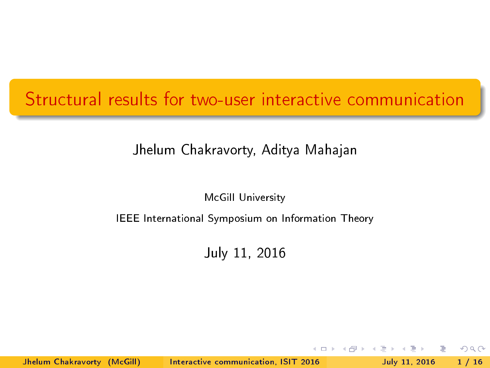#### <span id="page-0-0"></span>Structural results for two-user interactive communication

#### Jhelum Chakravorty, Aditya Mahajan

McGill University

#### IEEE International Symposium on Information Theory

July 11, 2016

 $\Omega$ 

Jhelum Chakravorty (McGill) [Interactive communication, ISIT 2016](#page-79-0) July 11, 2016 1 / 16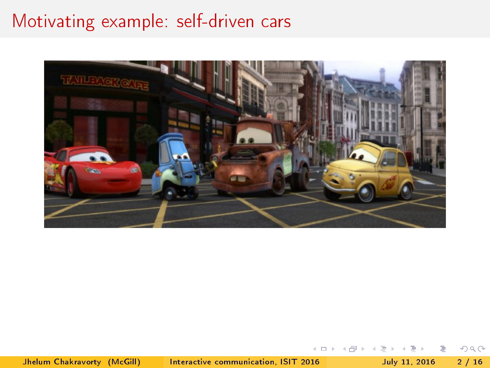#### Motivating example: self-driven cars



Jhelum Chakravorty (McGill) [Interactive communication, ISIT 2016](#page-0-0) July 11, 2016 2 / 16

э

 $2990$ 

 $\leftarrow$   $\Box$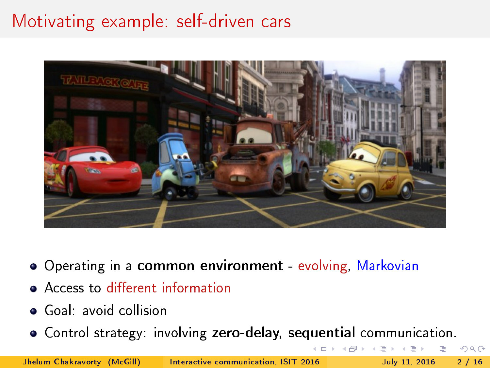# Motivating example: self-driven cars



- Operating in a common environment evolving, Markovian
- Access to different information
- Goal: avoid collision
- Control strategy: involving zero-delay, sequential communication.

Jhelum Chakravorty (McGill) [Interactive communication, ISIT 2016](#page-0-0) July 11, 2016 2 / 16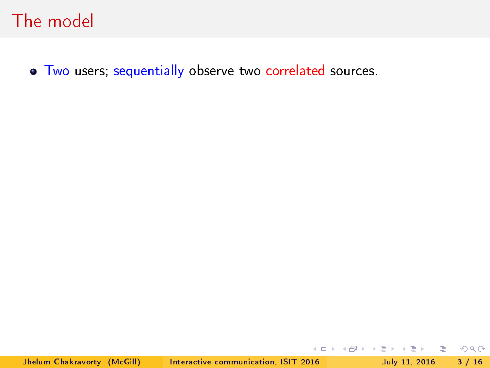$\bullet$  Two users; sequentially observe two correlated sources.

 $QQ$ 

 $\left\{ \begin{array}{ccc} 1 & 0 & 0 \\ 0 & 1 & 0 \end{array} \right\}$  ,  $\left\{ \begin{array}{ccc} \frac{1}{2} & 0 & 0 \\ 0 & 0 & 0 \end{array} \right\}$  ,  $\left\{ \begin{array}{ccc} \frac{1}{2} & 0 & 0 \\ 0 & 0 & 0 \end{array} \right\}$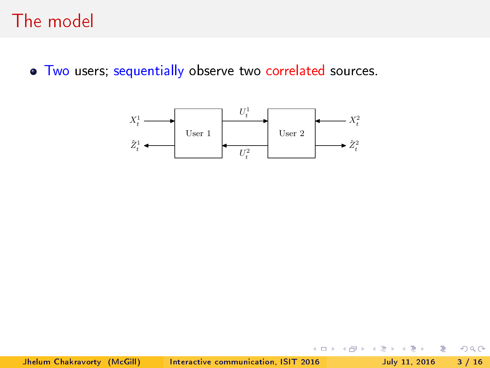$\bullet$  Two users; sequentially observe two correlated sources.



 $2Q$ 

Ξ

4 0 8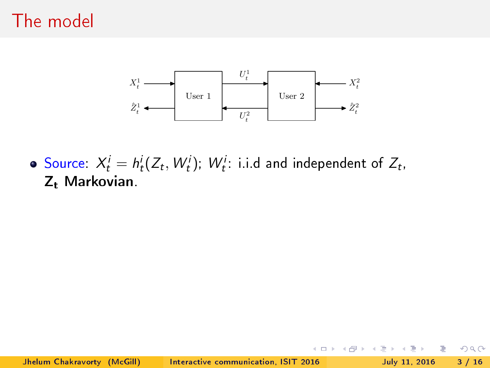

Source:  $X_t^i = h_t^i(Z_t, W_t^i)$ ;  $W_t^i$ : i.i.d and independent of  $Z_t$ , Z<sub>t</sub> Markovian

 $\leftarrow$   $\Box$ 

B.

 $QQ$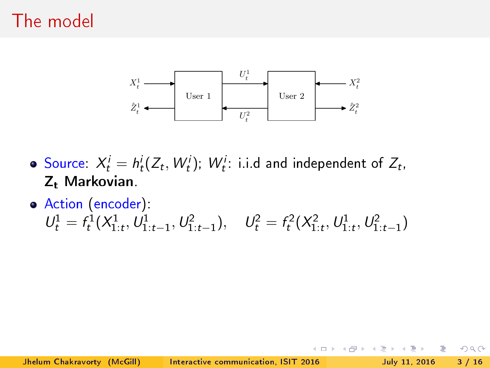

 $QQ$ 

Source:  $X_t^i = h_t^i(Z_t, W_t^i)$ ;  $W_t^i$ : i.i.d and independent of  $Z_t$ , Z<sub>t</sub> Markovian.

Action (encoder):  $U_t^1 = f_t^1(X_{1:t}^1, U_{1:t-1}^1, U_{1:t-1}^2), \quad U_t^2 = f_t^2(X_{1:t}^2, U_{1:t}^1, U_{1:t-1}^2)$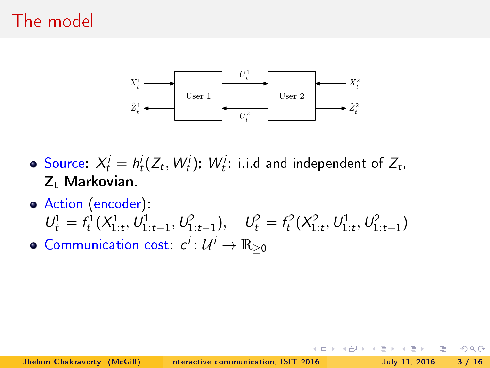

Source:  $X_t^i = h_t^i(Z_t, W_t^i)$ ;  $W_t^i$ : i.i.d and independent of  $Z_t$ , Z<sub>t</sub> Markovian.

- Action (encoder):  $U_t^1 = f_t^1(X_{1:t}^1, U_{1:t-1}^1, U_{1:t-1}^2), \quad U_t^2 = f_t^2(X_{1:t}^2, U_{1:t}^1, U_{1:t-1}^2)$
- Communication cost:  $c^i \colon \mathcal{U}^i \to \mathbb{R}_{\geq 0}$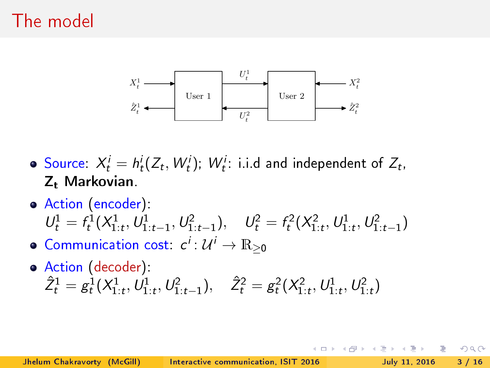

Source:  $X_t^i = h_t^i(Z_t, W_t^i)$ ;  $W_t^i$ : i.i.d and independent of  $Z_t$ , Z<sub>t</sub> Markovian.

- Action (encoder):  $U_t^1 = f_t^1(X_{1:t}^1, U_{1:t-1}^1, U_{1:t-1}^2), \quad U_t^2 = f_t^2(X_{1:t}^2, U_{1:t}^1, U_{1:t-1}^2)$
- Communication cost:  $c^i \colon \mathcal{U}^i \to \mathbb{R}_{\geq 0}$
- Action (decoder):  $\hat{Z}_t^1 = g_t^1(X_{1:t}^1, U_{1:t}^1, U_{1:t-1}^2), \quad \hat{Z}_t^2 = g_t^2(X_{1:t}^2, U_{1:t}^1, U_{1:t}^2)$

 $\Omega$ 

←ロト → 何ト → ヨト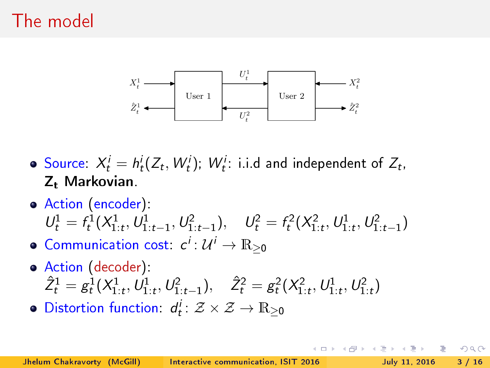

Source:  $X_t^i = h_t^i(Z_t, W_t^i)$ ;  $W_t^i$ : i.i.d and independent of  $Z_t$ , Z<sub>t</sub> Markovian.

- Action (encoder):  $U_t^1 = f_t^1(X_{1:t}^1, U_{1:t-1}^1, U_{1:t-1}^2), \quad U_t^2 = f_t^2(X_{1:t}^2, U_{1:t}^1, U_{1:t-1}^2)$
- Communication cost:  $c^i \colon \mathcal{U}^i \to \mathbb{R}_{\geq 0}$
- Action (decoder):  $\hat{Z}_t^1 = g_t^1(X_{1:t}^1, U_{1:t}^1, U_{1:t-1}^2), \quad \hat{Z}_t^2 = g_t^2(X_{1:t}^2, U_{1:t}^1, U_{1:t}^2)$
- Distortion function:  $d_t^i \colon \mathcal{Z} \times \mathcal{Z} \to \mathbb{R}_{\geq 0}$

 $\Omega$ 

( ロ ) ( *同* ) ( ヨ ) (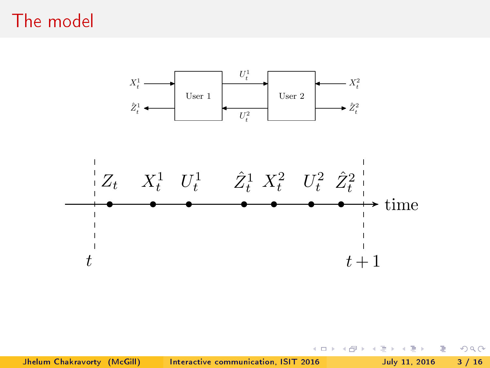

目

 $2990$ 

Þ . p

 $\rightarrow$ 

**K ロト K 何 ト K 手**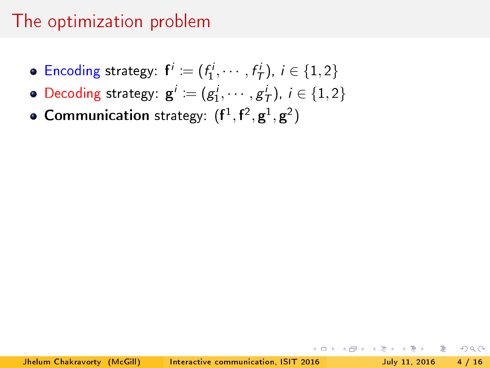- Encoding strategy:  $f^i := (f_1^i, \cdots, f_T^i), i \in \{1,2\}$
- Decoding strategy:  $\mathbf{g}^i := (g_1^i, \cdots, g_T^i), i \in \{1, 2\}$
- **Communication** strategy:  $(f<sup>1</sup>, f<sup>2</sup>, g<sup>1</sup>, g<sup>2</sup>)$

K ロ > K @ > K ミ > K ミ > → ミ → K O Q O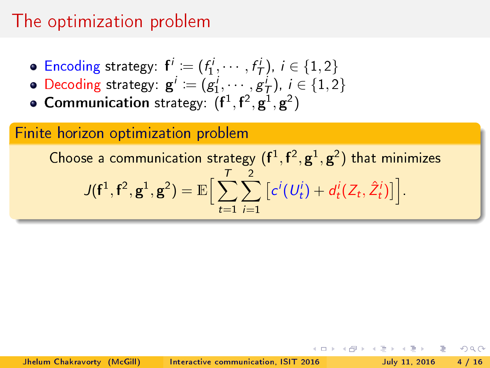- Encoding strategy:  $f^i := (f_1^i, \dots, f_T^i), i \in \{1, 2\}$
- Decoding strategy:  $\mathbf{g}^i := (g_1^i, \dots, g_T^i)$ ,  $i \in \{1, 2\}$
- **Communication** strategy:  $(f<sup>1</sup>, f<sup>2</sup>, g<sup>1</sup>, g<sup>2</sup>)$

#### Finite horizon optimization problem

Choose a communication strategy  $(\mathbf{f}^1, \mathbf{f}^2, \mathbf{g}^1, \mathbf{g}^2)$  that minimizes  $J(\mathbf{f}^1, \mathbf{f}^2, \mathbf{g}^1, \mathbf{g}^2) = \mathbb{E} \Big[ \sum_{i=1}^T \mathbf{f}_i^2 \Big]$  $t=1$  $\sum$ 2  $i=1$  $\left[c^{i}(U_{t}^{i})+d_{t}^{i}(Z_{t},\hat{Z}_{t}^{i})\right]$ .

 $\Omega$ 

경기 등장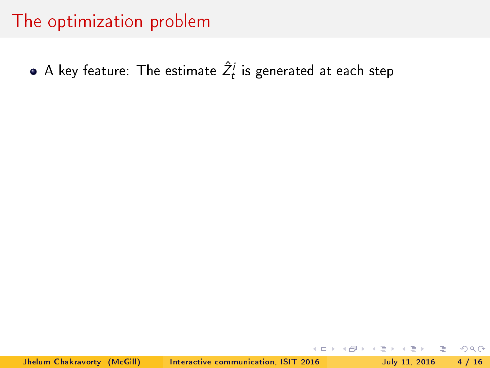A key feature: The estimate  $\hat{Z}_{t}^{i}$  is generated at each step

Jhelum Chakravorty (McGill) [Interactive communication, ISIT 2016](#page-0-0) July 11, 2016 4 / 16

 $\Omega$ 

(□ ) (@ ) (□ )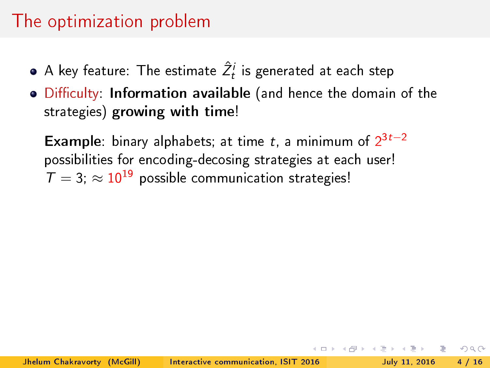- A key feature: The estimate  $\hat{Z}_{t}^{i}$  is generated at each step
- . Difficulty: Information available (and hence the domain of the strategies) growing with time!

**Example**: binary alphabets; at time t, a minimum of  $2^{3t-2}$ possibilities for encoding-decosing strategies at each user!  $T = 3$ ;  $\approx 10^{19}$  possible communication strategies!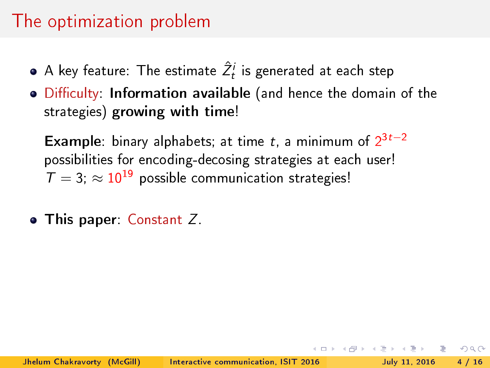- A key feature: The estimate  $\hat{Z}_{t}^{i}$  is generated at each step
- . Difficulty: Information available (and hence the domain of the strategies) growing with time!

**Example**: binary alphabets; at time t, a minimum of  $2^{3t-2}$ possibilities for encoding-decosing strategies at each user!  $T = 3$ ;  $\approx 10^{19}$  possible communication strategies!

• This paper: Constant Z.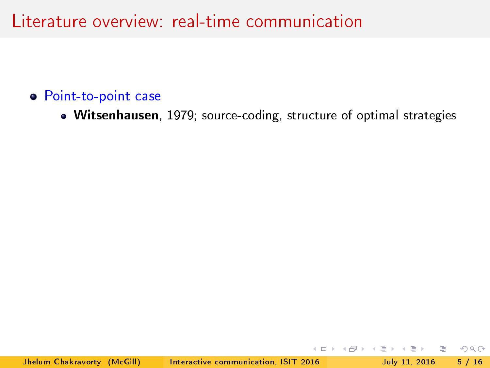#### Point-to-point case

Witsenhausen, 1979; source-coding, structure of optimal strategies

 $QQ$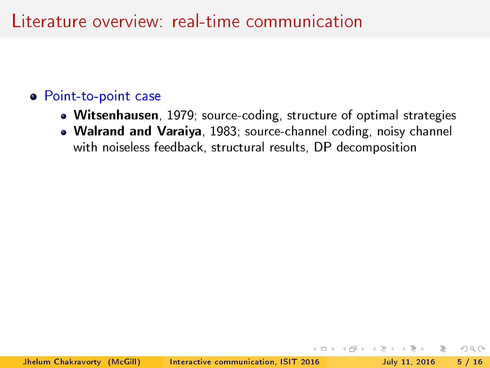#### Point-to-point case

- Witsenhausen, 1979; source-coding, structure of optimal strategies
- Walrand and Varaiya, 1983; source-channel coding, noisy channel with noiseless feedback, structural results, DP decomposition

 $QQ$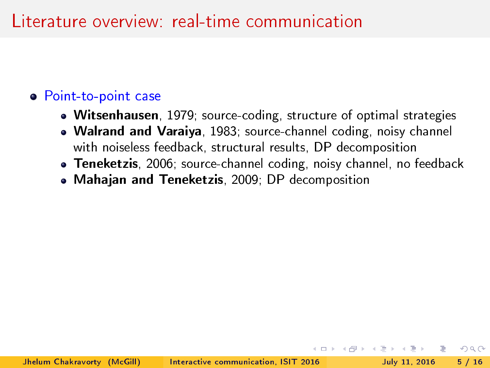#### **•** Point-to-point case

- Witsenhausen, 1979; source-coding, structure of optimal strategies
- Walrand and Varaiya, 1983; source-channel coding, noisy channel with noiseless feedback, structural results, DP decomposition
- **Teneketzis**, 2006; source-channel coding, noisy channel, no feedback

 $QQ$ 

Mahajan and Teneketzis, 2009; DP decomposition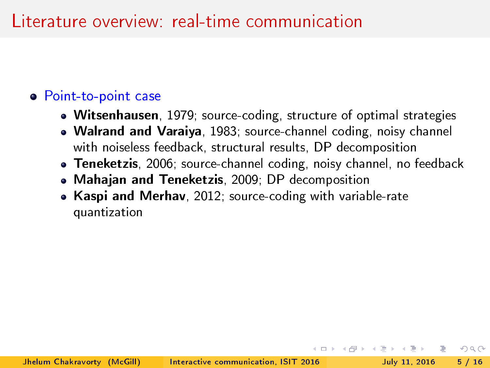#### **•** Point-to-point case

- Witsenhausen, 1979; source-coding, structure of optimal strategies
- Walrand and Varaiya, 1983; source-channel coding, noisy channel with noiseless feedback, structural results, DP decomposition
- **Teneketzis**, 2006; source-channel coding, noisy channel, no feedback
- Mahajan and Teneketzis, 2009; DP decomposition
- Kaspi and Merhav, 2012; source-coding with variable-rate quantization

 $QQ$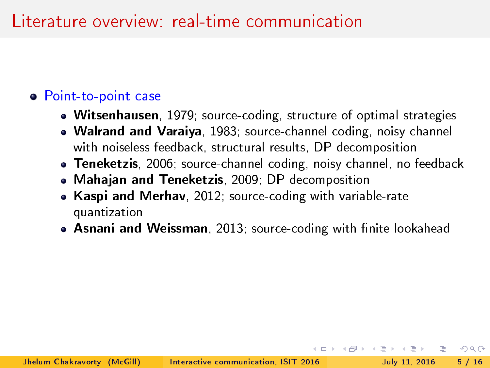#### Point-to-point case

- Witsenhausen, 1979; source-coding, structure of optimal strategies
- Walrand and Varaiya, 1983; source-channel coding, noisy channel with noiseless feedback, structural results, DP decomposition
- **Teneketzis**, 2006; source-channel coding, noisy channel, no feedback
- Mahajan and Teneketzis, 2009; DP decomposition
- Kaspi and Merhav, 2012; source-coding with variable-rate quantization
- Asnani and Weissman, 2013; source-coding with finite lookahead

 $QQ$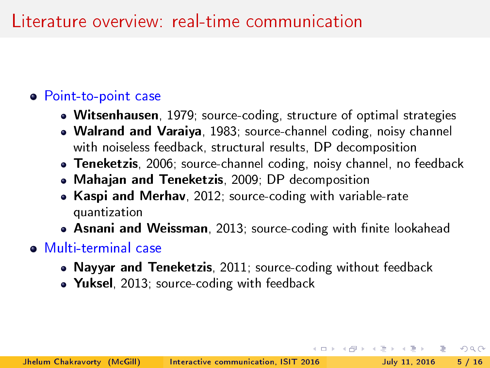#### Point-to-point case

- Witsenhausen, 1979; source-coding, structure of optimal strategies
- Walrand and Varaiya, 1983; source-channel coding, noisy channel with noiseless feedback, structural results, DP decomposition
- Teneketzis, 2006; source-channel coding, noisy channel, no feedback
- Mahajan and Teneketzis, 2009; DP decomposition
- Kaspi and Merhav, 2012; source-coding with variable-rate quantization
- Asnani and Weissman, 2013; source-coding with finite lookahead
- Multi-terminal case
	- Nayyar and Teneketzis, 2011; source-coding without feedback

 $QQ$ 

• Yuksel, 2013; source-coding with feedback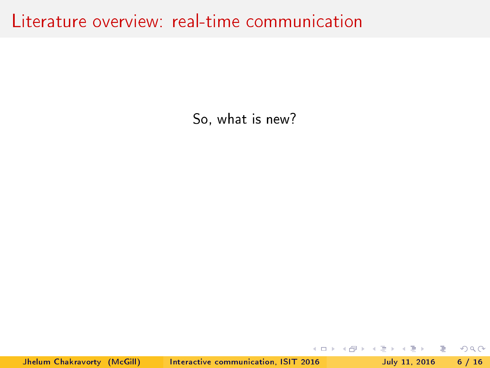So, what is new?

 $\Omega$ 

イロト イ押ト イヨト イヨト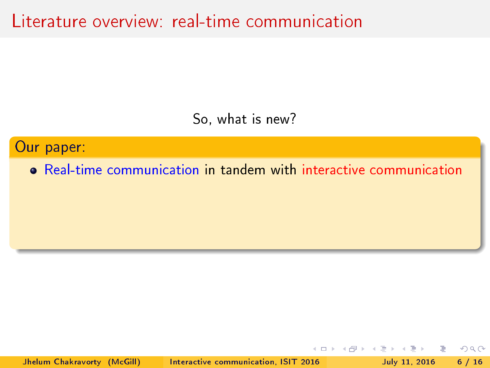So, what is new?

Our paper:

Real-time communication in tandem with interactive communication

Jhelum Chakravorty (McGill) [Interactive communication, ISIT 2016](#page-0-0) July 11, 2016 6 / 16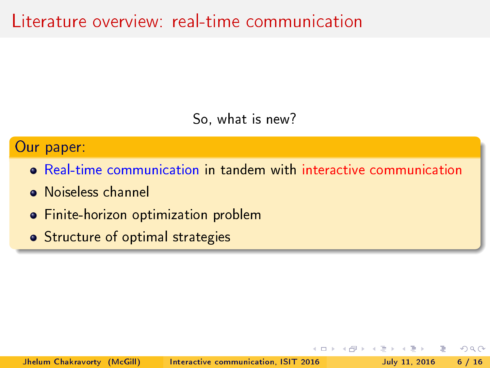So, what is new?

#### Our paper:

- Real-time communication in tandem with interactive communication
- Noiseless channel
- **•** Finite-horizon optimization problem
- **•** Structure of optimal strategies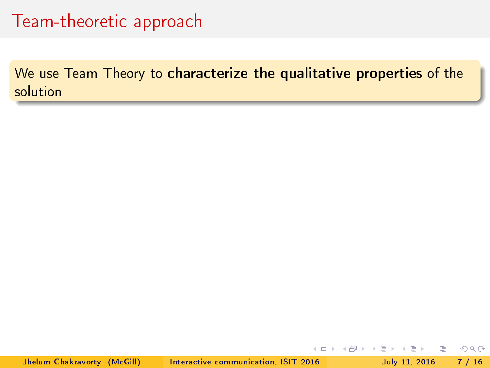We use Team Theory to characterize the qualitative properties of the solution

 $QQ$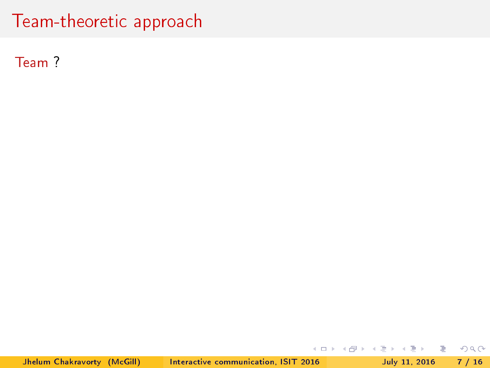Team ?

 $2QQ$ 

지수는 지금 아버지를 하고 있다.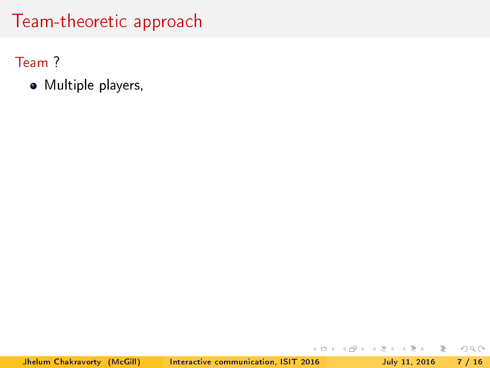Team ?

Multiple players,

 $2Q$ 

 $\rightarrow \equiv$ 

 $\Rightarrow$   $\rightarrow$ 

**K ロ ▶ K 何 ▶ K**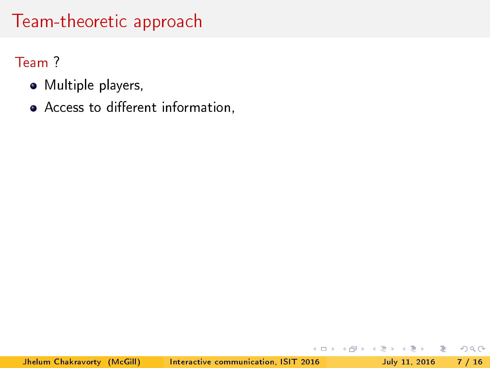Team ?

- Multiple players,
- Access to different information,

 $2Q$ 

Þ . p

э  $\rightarrow$ 

**∢ ロ ▶ - ィ 何 ▶**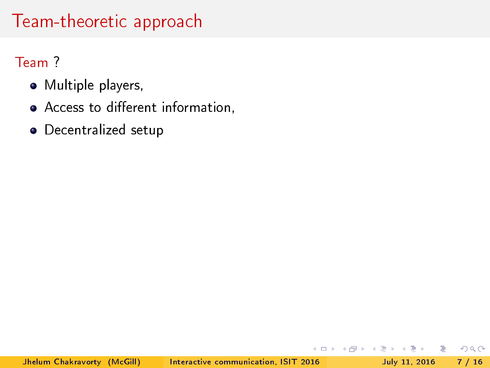#### Team ?

- Multiple players,
- Access to different information,
- Decentralized setup

 $QQ$ 

÷  $\,$ 

 $\leftarrow$   $\Box$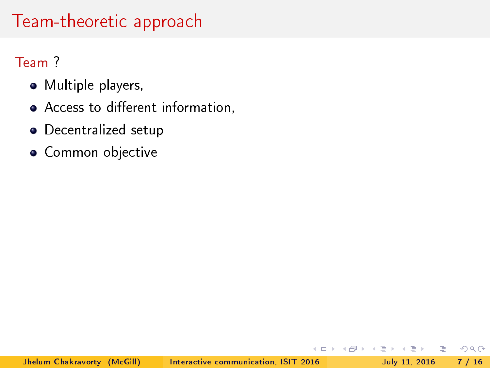#### Team ?

- Multiple players,
- Access to different information,
- Decentralized setup
- Common objective

÷  $\,$ 

 $\leftarrow$   $\Box$ 

 $2Q$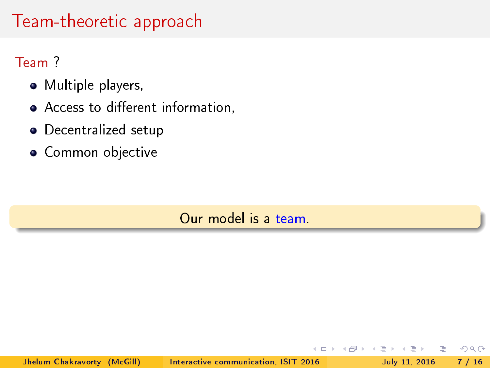#### Team ?

- Multiple players,
- Access to different information,
- Decentralized setup
- Common objective

Our model is a team.

 $+$ 

э

 $QQ$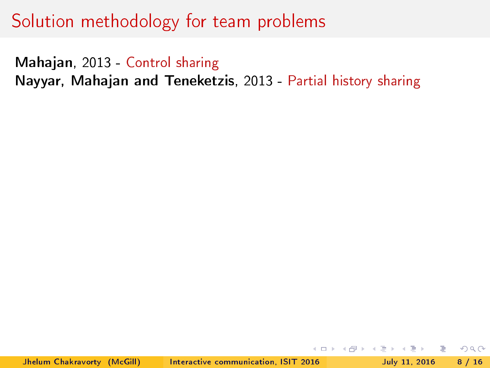Mahajan, 2013 - Control sharing Nayyar, Mahajan and Teneketzis, 2013 - Partial history sharing

 $\eta$ a $\alpha$ 

( □ ) ( <sub>□</sub> ) (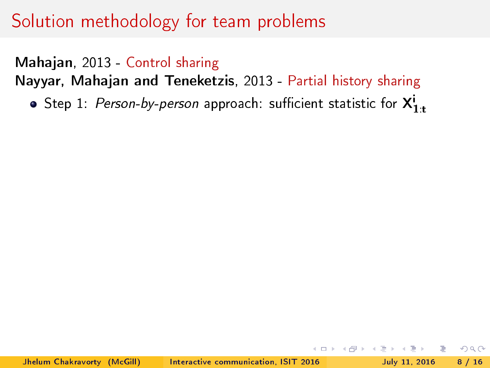Mahajan, 2013 - Control sharing

Nayyar, Mahajan and Teneketzis, 2013 - Partial history sharing

<code>Step 1: *Person-by-person approach: sufficient statistic for*  $\boldsymbol{\mathsf{X}}^{\mathsf{i}}_{1:\mathsf{t}}$ </code>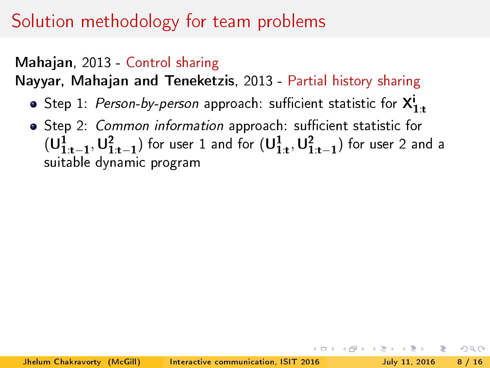#### Mahajan, 2013 - Control sharing

Nayyar, Mahajan and Teneketzis, 2013 - Partial history sharing

- <code>Step 1: *Person-by-person approach: sufficient statistic for*  $\boldsymbol{\mathsf{X}}^{\mathsf{i}}_{1:\mathsf{t}}$ </code>
- . Step 2: Common information approach: sufficient statistic for  $(\mathsf{U}_{1:\mathrm{t}-1}^1, \mathsf{U}_{1:\mathrm{t}-1}^2)$  for user  $1$  and for  $(\mathsf{U}_{1:\mathrm{t}}^1, \mathsf{U}_{1:\mathrm{t}-1}^2)$  for user  $2$  and a suitable dynamic program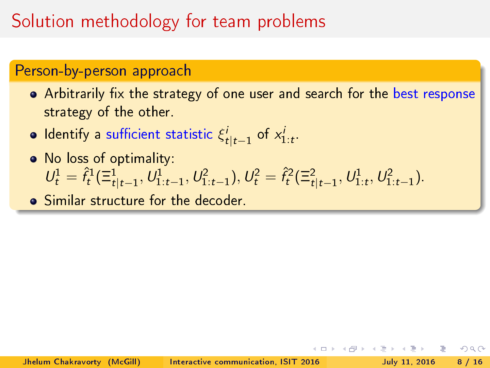#### Person-by-person approach

- Arbitrarily fix the strategy of one user and search for the best response strategy of the other.
- ldentify a sufficient statistic  $\xi^i_{t|t-1}$  of  $x^i_{1:t}$ .
- No loss of optimality:  $U_t^1 = \hat{f}_t^1(\Xi_{t|t-1}^1, U_{1:t-1}^1, U_{1:t-1}^2), U_t^2 = \hat{f}_t^2(\Xi_{t|t-1}^2, U_{1:t}^1, U_{1:t-1}^2).$

Similar structure for the decoder.

つへへ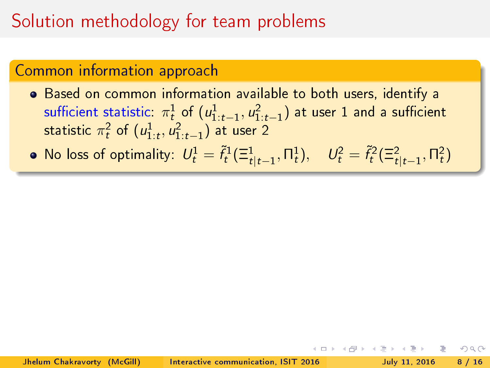## Solution methodology for team problems

#### Common information approach

- Based on common information available to both users, identify a sufficient statistic:  $\pi^1_{t}$  of  $(u^1_{1:t-1}, u^2_{1:t-1})$  at user  $1$  and a sufficient statistic  $\pi_t^2$  of  $(u_{1:t}^1,u_{1:t-1}^2)$  at user 2
- No loss of optimality:  $U_t^1 = \tilde{f}_t^1(\Xi_{t|t-1}^1, \Pi_t^1), \quad U_t^2 = \tilde{f}_t^2(\Xi_{t|t-1}^2, \Pi_t^2)$

 $\Omega$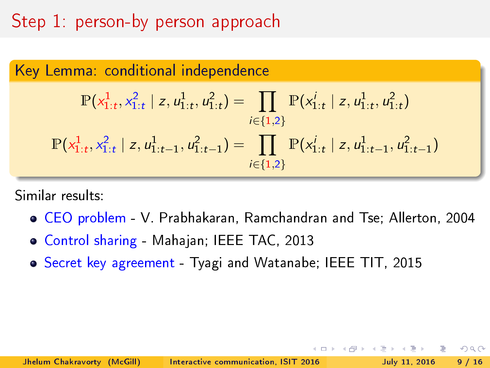## Step 1: person-by person approach

Key Lemma: conditional independence  
\n
$$
\mathbb{P}(x_{1:t}^1, x_{1:t}^2 \mid z, u_{1:t}^1, u_{1:t}^2) = \prod_{i \in \{1,2\}} \mathbb{P}(x_{1:t}^i \mid z, u_{1:t}^1, u_{1:t}^2)
$$
\n
$$
\mathbb{P}(x_{1:t}^1, x_{1:t}^2 \mid z, u_{1:t-1}^1, u_{1:t-1}^2) = \prod_{i \in \{1,2\}} \mathbb{P}(x_{1:t}^i \mid z, u_{1:t-1}^1, u_{1:t-1}^2)
$$

Similar results:

CEO problem - V. Prabhakaran, Ramchandran and Tse; Allerton, 2004

 $QQ$ 

- Control sharing Mahajan; IEEE TAC, 2013
- Secret key agreement Tyagi and Watanabe; IEEE TIT, 2015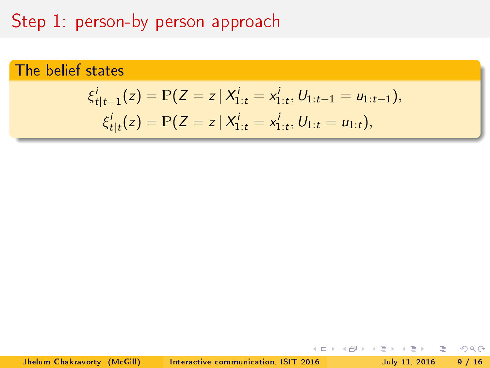# Step 1: person-by person approach

### The belief states

$$
\xi_{t|t-1}^i(z) = \mathbb{P}(Z = z \mid X_{1:t}^i = x_{1:t}^i, U_{1:t-1} = u_{1:t-1}),
$$
  
\n
$$
\xi_{t|t}^i(z) = \mathbb{P}(Z = z \mid X_{1:t}^i = x_{1:t}^i, U_{1:t} = u_{1:t}),
$$

Jhelum Chakravorty (McGill) [Interactive communication, ISIT 2016](#page-0-0) July 11, 2016 9 / 16

$$
\begin{array}{rcl}\n4 & \equiv & \ast & \equiv & \circ \\
\sqrt{11} & 2016 & 9\n\end{array}
$$

 $2Q$ 

 $\Rightarrow$ 

 $\Rightarrow$   $\Rightarrow$  $-4$ 

 $\leftarrow$   $\Box$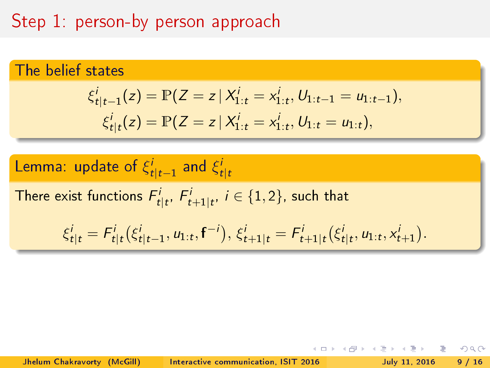# Step 1: person-by person approach

### The belief states

$$
\xi_{t|t-1}^i(z) = \mathbb{P}(Z = z \mid X_{1:t}^i = x_{1:t}^i, U_{1:t-1} = u_{1:t-1}),
$$
  
\n
$$
\xi_{t|t}^i(z) = \mathbb{P}(Z = z \mid X_{1:t}^i = x_{1:t}^i, U_{1:t} = u_{1:t}),
$$

**Lemma:** update of 
$$
\xi_{t|t-1}^i
$$
 and  $\xi_{t|t}^i$ \n\nThere exist functions  $F_{t|t}^i$ ,  $F_{t+1|t}^i$ ,  $i \in \{1, 2\}$ , such that\n\n
$$
\xi_{t|t}^i = F_{t|t}^i(\xi_{t|t-1}^i, u_{1:t}, \mathbf{f}^{-i}), \xi_{t+1|t}^i = F_{t+1|t}^i(\xi_{t|t}^i, u_{1:t}, x_{t+1}^i).
$$

 $\leftarrow$   $\Box$ 

 $\mathbb{R}^n \times \mathbb{R}^n \to \mathbb{R}$ 

闹

 $\equiv$ 

 $2990$ 

Þ  $\,$ 

Jhelum Chakravorty (McGill) [Interactive communication, ISIT 2016](#page-0-0) July 11, 2016 9 / 16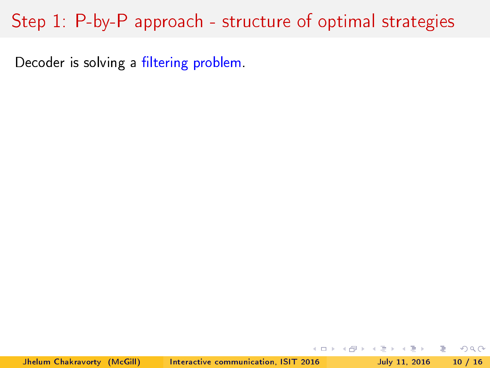Decoder is solving a filtering problem.

Jhelum Chakravorty (McGill) [Interactive communication, ISIT 2016](#page-0-0) July 11, 2016 10 / 16

 $\equiv$   $\rightarrow$   $\equiv$   $\land$   $\land$ 

(□ ) (@ ) (□ )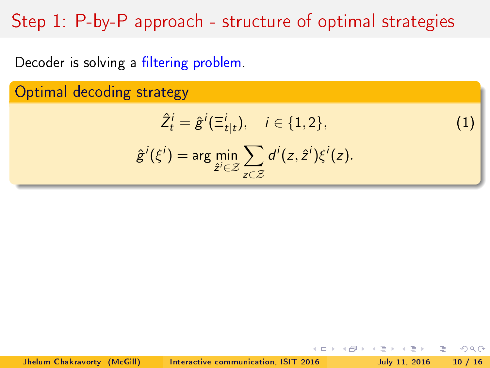Decoder is solving a filtering problem.

Optimal decoding strategy

$$
\hat{Z}_t^i = \hat{g}^i(\Xi_{t|t}^i), \quad i \in \{1, 2\},\tag{1}
$$

 $-1$   $-1$ 

÷.

 $\Omega$ 

$$
\hat{g}^i(\xi^i) = \arg\min_{\hat{z}^i \in \mathcal{Z}} \sum_{z \in \mathcal{Z}} d^i(z, \hat{z}^i) \xi^i(z).
$$

Jhelum Chakravorty (McGill) [Interactive communication, ISIT 2016](#page-0-0) July 11, 2016 10 / 16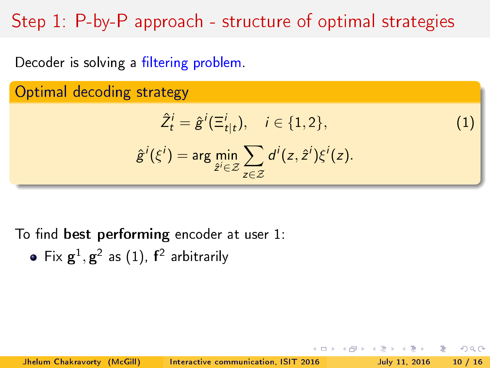Decoder is solving a filtering problem.

Optimal decoding strategy

$$
\hat{Z}_t^i = \hat{g}^i(\Xi_{t|t}^i), \quad i \in \{1, 2\},\tag{1}
$$

 $\Omega$ 

$$
\hat{g}^i(\xi^i) = \arg\min_{\hat{z}^i \in \mathcal{Z}} \sum_{z \in \mathcal{Z}} d^i(z, \hat{z}^i) \xi^i(z).
$$

To find best performing encoder at user  $1$ :

Fix  $\mathbf{g}^1, \mathbf{g}^2$  as  $(1)$ ,  $\mathbf{f}^2$  arbitrarily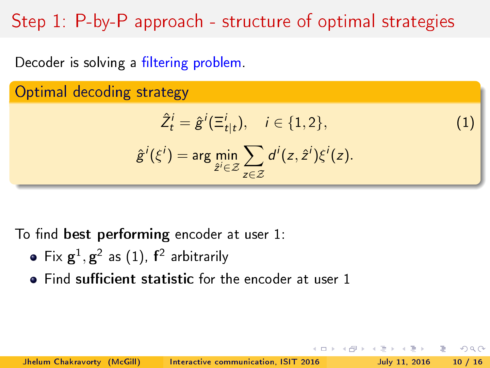Decoder is solving a filtering problem.

Optimal decoding strategy

$$
\hat{Z}_t^i = \hat{g}^i(\Xi_{t|t}^i), \quad i \in \{1, 2\},\tag{1}
$$

つへへ

$$
\hat{g}^i(\xi^i) = \arg\min_{\hat{z}^i \in \mathcal{Z}} \sum_{z \in \mathcal{Z}} d^i(z, \hat{z}^i) \xi^i(z).
$$

To find best performing encoder at user  $1$ :

- Fix  $\mathbf{g}^1, \mathbf{g}^2$  as  $(1)$ ,  $\mathbf{f}^2$  arbitrarily
- $\bullet$  Find sufficient statistic for the encoder at user 1

Jhelum Chakravorty (McGill) [Interactive communication, ISIT 2016](#page-0-0) July 11, 2016 10 / 16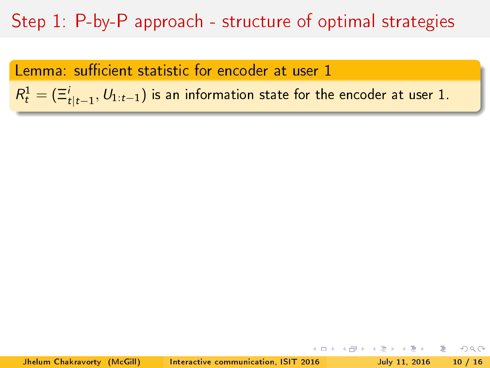Lemma: sufficient statistic for encoder at user 1

 $R_t^1 = (\Xi_{t \mid t-1}^i, \textcolor{red}{U_{1:t-1}})$  is an information state for the encoder at user  $1.$ 

 $QQ$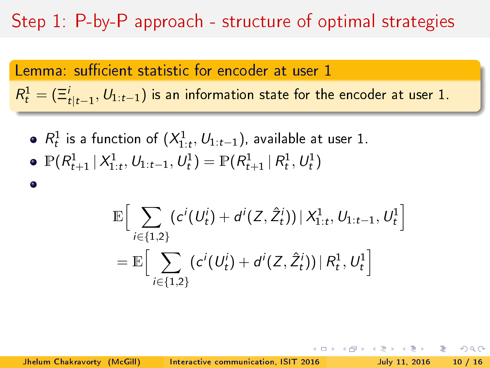Lemma: sufficient statistic for encoder at user 1  $R_t^1 = (\Xi_{t \mid t-1}^i, \textcolor{red}{U_{1:t-1}})$  is an information state for the encoder at user  $1.$ 

 $R_t^1$  is a function of  $(X_{1:t}^1, U_{1:t-1})$ , available at user 1.  $\mathbb{P}(R^1_{t+1} | X^1_{1:t}, \mathcal{U}_{1:t-1}, \mathcal{U}^1_t) = \mathbb{P}(R^1_{t+1} | R^1_t, \mathcal{U}^1_t)$ 

$$
\mathbb{E}\Big[\sum_{i\in\{1,2\}}(c^i(U^i_t)+d^i(Z,\hat{Z}^i_t))\,|\,X^1_{1:t},\,U_{1:t-1},\,U^1_t\Big]\\=\mathbb{E}\Big[\sum_{i\in\{1,2\}}(c^i(U^i_t)+d^i(Z,\hat{Z}^i_t))\,|\,R^1_t,\,U^1_t\Big]
$$

Jhelum Chakravorty (McGill) [Interactive communication, ISIT 2016](#page-0-0) July 11, 2016 10 / 16

 $\bullet$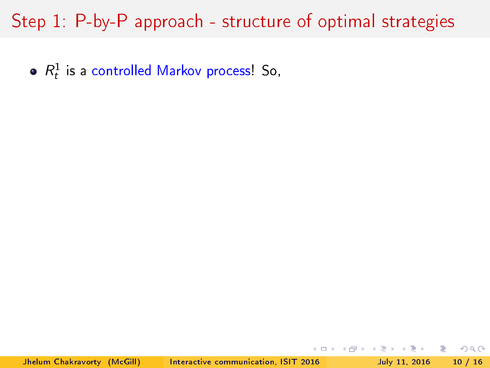$R_t^1$  is a controlled Markov process! So,

(□ ) (@ ) (□

 $2Q$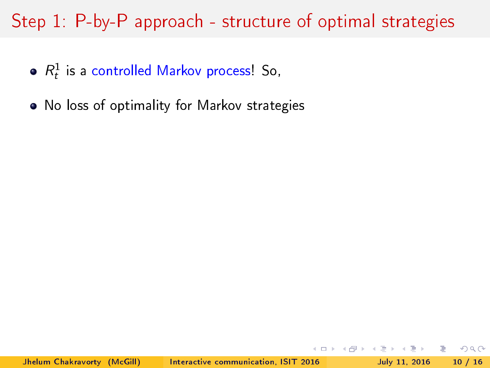- $R_t^1$  is a controlled Markov process! So,
- No loss of optimality for Markov strategies

 $QQ$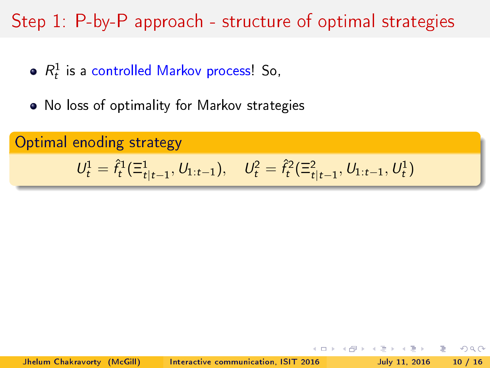- $R_t^1$  is a controlled Markov process! So,
- No loss of optimality for Markov strategies

Optimal enoding strategy

$$
U_t^1 = \hat{f}_t^1(\Xi_{t|t-1}^1, U_{1:t-1}), \quad U_t^2 = \hat{f}_t^2(\Xi_{t|t-1}^2, U_{1:t-1}, U_t^1)
$$

 $QQ$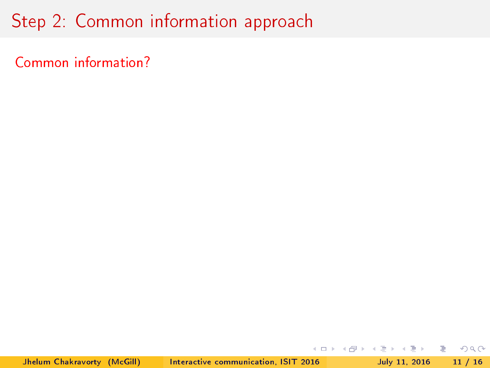Common information?

 $2Q$ 

K ロ > K @ > K 경 > K 경 > 시 경 +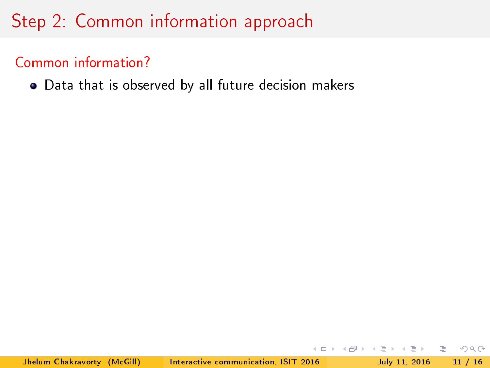### Common information?

Data that is observed by all future decision makers

 $\Omega$ 

←ロト → 何ト → ヨト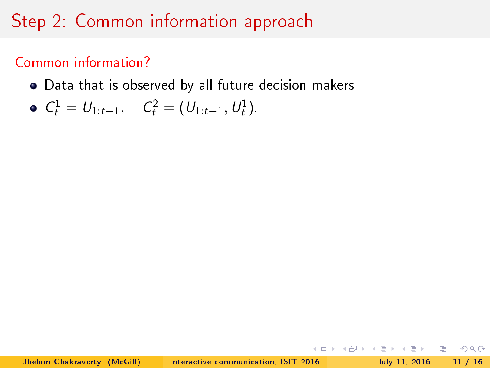### Common information?

Data that is observed by all future decision makers

• 
$$
C_t^1 = U_{1:t-1}
$$
,  $C_t^2 = (U_{1:t-1}, U_t^1)$ 

 $\Omega$ 

←ロト → 何ト → ヨト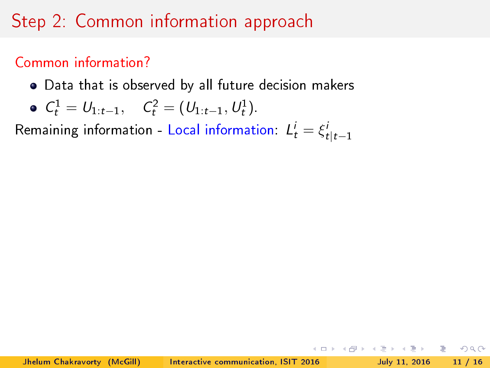### Common information?

Data that is observed by all future decision makers

• 
$$
C_t^1 = U_{1:t-1}
$$
,  $C_t^2 = (U_{1:t-1}, U_t^1)$ .

Remaining information - Local information:  $L^i_t = \xi^i_{t|t-1}$ 

K ロ > K d > K ミ > K ミ > → ミ → K O Q O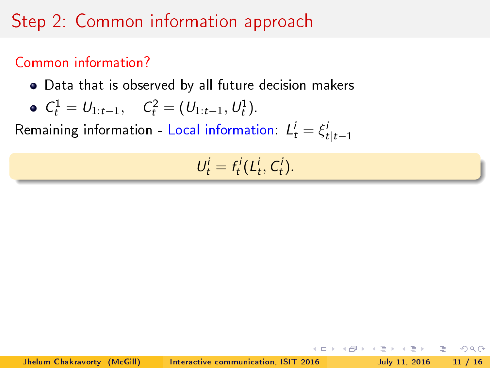### Common information?

Data that is observed by all future decision makers

• 
$$
C_t^1 = U_{1:t-1}
$$
,  $C_t^2 = (U_{1:t-1}, U_t^1)$ .

Remaining information - Local information:  $L^i_t = \xi^i_{t|t-1}$ 

$$
U_t^i = f_t^i(L_t^i, C_t^i).
$$

경기 등

 $QQ$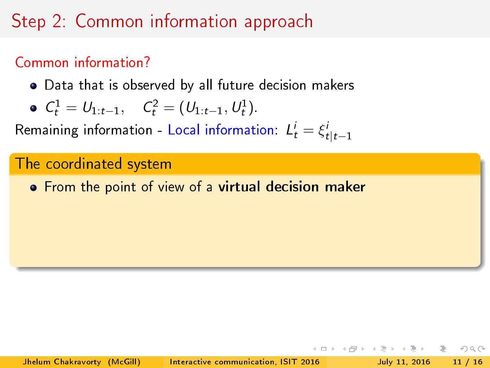### Common information?

Data that is observed by all future decision makers

• 
$$
C_t^1 = U_{1:t-1}
$$
,  $C_t^2 = (U_{1:t-1}, U_t^1)$ .

Remaining information - Local information:  $L^i_t = \xi^i_{t|t-1}$ 

#### The coordinated system

**•** From the point of view of a virtual decision maker

つへへ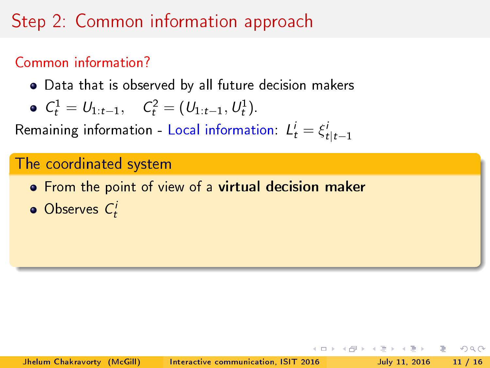### Common information?

Data that is observed by all future decision makers

• 
$$
C_t^1 = U_{1:t-1}
$$
,  $C_t^2 = (U_{1:t-1}, U_t^1)$ .

Remaining information - Local information:  $L^i_t = \xi^i_{t|t-1}$ 

#### The coordinated system

- **•** From the point of view of a virtual decision maker
- Observes  $C_t^i$

つへへ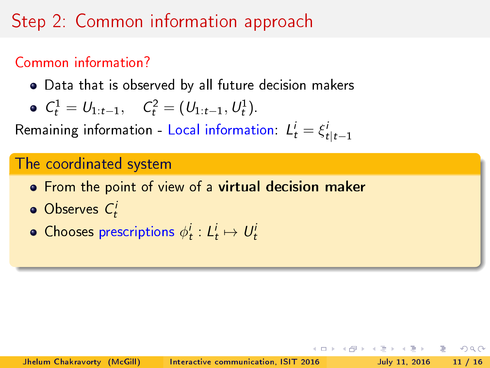### Common information?

Data that is observed by all future decision makers

• 
$$
C_t^1 = U_{1:t-1}
$$
,  $C_t^2 = (U_{1:t-1}, U_t^1)$ .

Remaining information - Local information:  $L^i_t = \xi^i_{t|t-1}$ 

#### The coordinated system

- **•** From the point of view of a virtual decision maker
- Observes  $C_t^i$
- Chooses prescriptions  $\phi^i_t: L^i_t \mapsto U^i_t$

 $\Omega$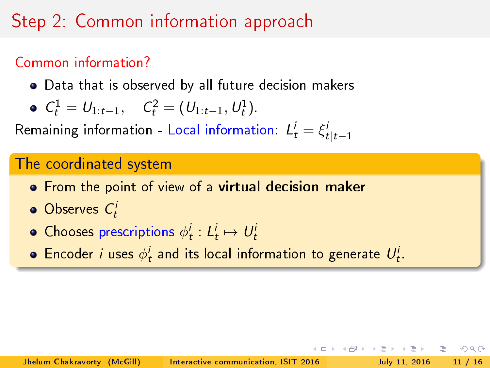### Common information?

Data that is observed by all future decision makers

• 
$$
C_t^1 = U_{1:t-1}
$$
,  $C_t^2 = (U_{1:t-1}, U_t^1)$ .

Remaining information - Local information:  $L^i_t = \xi^i_{t|t-1}$ 

#### The coordinated system

- **•** From the point of view of a virtual decision maker
- Observes  $C_t^i$
- Chooses prescriptions  $\phi^i_t: L^i_t \mapsto U^i_t$
- Encoder  $i$  uses  $\phi^i_t$  and its local information to generate  $U^i_t$ .

つへへ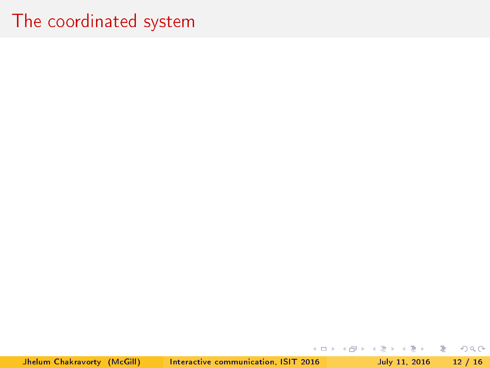Jhelum Chakravorty (McGill) [Interactive communication, ISIT 2016](#page-0-0) July 11, 2016 12 / 16

目

 $2Q$ 

イロト イ部 トイモト イモトー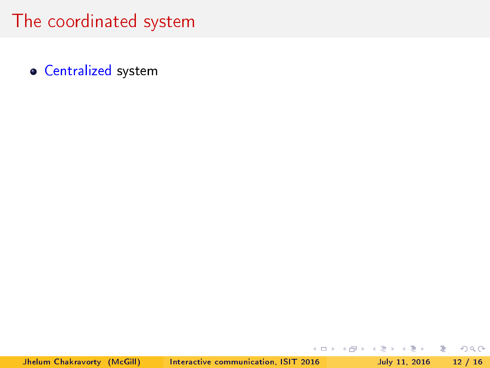**• Centralized system** 

重

 $2Q$ 

イロト イ押 トイラト イラトー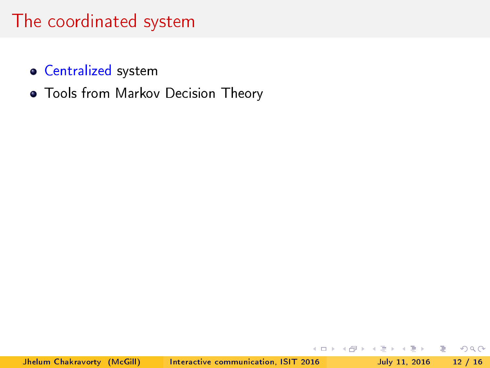- **Centralized system**
- Tools from Markov Decision Theory

 $\Omega$ 

 $\prec$ Ξŀ. B.

э  $\rightarrow$ 

**K ロト K 倒 ト K**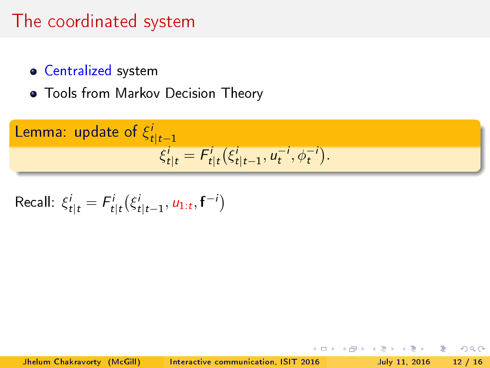- **Centralized system**
- Tools from Markov Decision Theory

Lemma: update of 
$$
\xi_{t|t-1}^i
$$
\n
$$
\xi_{t|t}^i = F_{t|t}^i(\xi_{t|t-1}^i, u_t^{-i}, \phi_t^{-i}).
$$

Recall: 
$$
\xi_{t|t}^i = F_{t|t}^i(\xi_{t|t-1}^i, u_{1:t}, \mathbf{f}^{-i})
$$

 $\leftarrow$   $\Box$ 

 $2Q$ 

÷.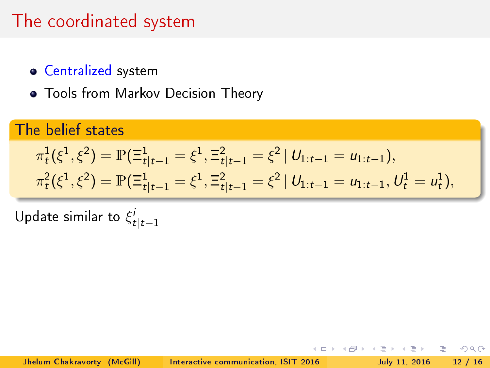- **Centralized system**
- Tools from Markov Decision Theory

## The belief states

$$
\pi_t^1(\xi^1, \xi^2) = \mathbb{P}(\Xi_{t|t-1}^1 = \xi^1, \Xi_{t|t-1}^2 = \xi^2 \mid U_{1:t-1} = u_{1:t-1}),
$$
  

$$
\pi_t^2(\xi^1, \xi^2) = \mathbb{P}(\Xi_{t|t-1}^1 = \xi^1, \Xi_{t|t-1}^2 = \xi^2 \mid U_{1:t-1} = u_{1:t-1}, U_t^1 = u_t^1),
$$

Update similar to  $\xi^i_{t|t-1}$ 

 $\leftarrow$   $\Box$ 

э

 $\Omega$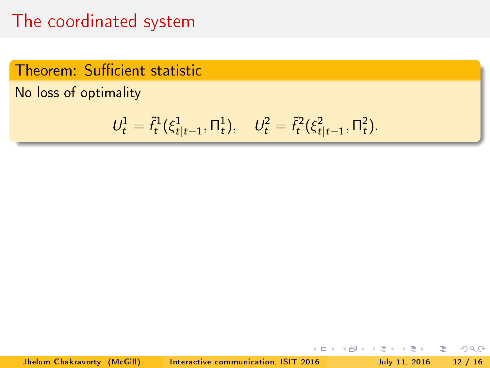### Theorem: Sufficient statistic

No loss of optimality

$$
U_t^1 = \tilde{f}_t^1(\xi_{t|t-1}^1, \Pi_t^1), \quad U_t^2 = \tilde{f}_t^2(\xi_{t|t-1}^2, \Pi_t^2).
$$

 $\leftarrow$   $\Box$ 

闹

÷.

÷.

 $QQ$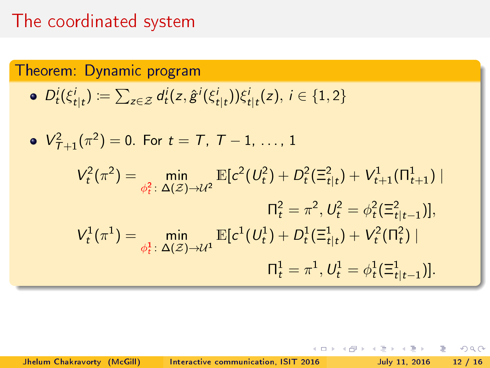Theorem: Dynamic program  
\n• 
$$
D_t^i(\xi_{t|t}^i) := \sum_{z \in \mathcal{Z}} d_t^i(z, \hat{g}^i(\xi_{t|t}^i)) \xi_{t|t}^i(z), i \in \{1, 2\}
$$
  
\n•  $V_{T+1}^2(\pi^2) = 0$ . For  $t = T, T - 1, ..., 1$   
\n
$$
V_t^2(\pi^2) = \min_{\phi_t^2: \Delta(\mathcal{Z}) \to \mathcal{U}^2} \mathbb{E}[c^2(U_t^2) + D_t^2(\Xi_{t|t}^2) + V_{t+1}^1(\Pi_{t+1}^1) |
$$
\n
$$
\Pi_t^2 = \pi^2, U_t^2 = \phi_t^2(\Xi_{t|t-1}^2)],
$$
\n
$$
V_t^1(\pi^1) = \min_{\phi_t^1: \Delta(\mathcal{Z}) \to \mathcal{U}^1} \mathbb{E}[c^1(U_t^1) + D_t^1(\Xi_{t|t}^1) + V_t^2(\Pi_t^2) |
$$
\n
$$
\Pi_t^1 = \pi^1, U_t^1 = \phi_t^1(\Xi_{t|t-1}^1)].
$$

Jhelum Chakravorty (McGill) [Interactive communication, ISIT 2016](#page-0-0) July 11, 2016 12 / 16

重

 $2Q$ 

**K ロ ⊁ K 伊 ⊁ K** 

 $\,$   $\,$ Ξŀ.

э  $\triangleleft$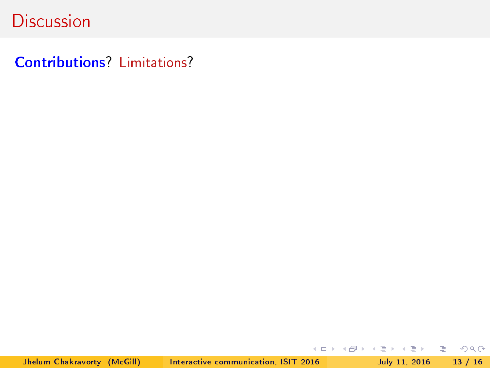Contributions? Limitations?

Jhelum Chakravorty (McGill) [Interactive communication, ISIT 2016](#page-0-0) July 11, 2016 13 / 16

K ロ > K @ > K ミ > K ミ > → ミ → 9 Q Q →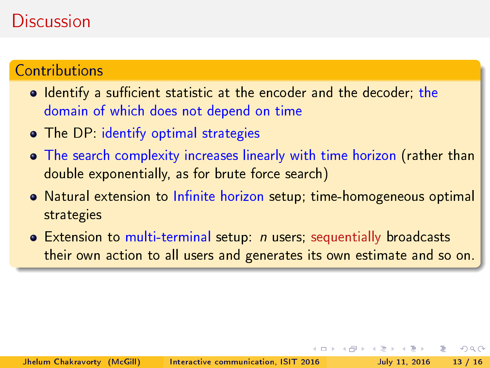#### **Contributions**

- $\bullet$  Identify a sufficient statistic at the encoder and the decoder; the domain of which does not depend on time
- **The DP:** identify optimal strategies
- The search complexity increases linearly with time horizon (rather than double exponentially, as for brute force search)
- o Natural extension to Infinite horizon setup; time-homogeneous optimal strategies
- **•** Extension to multi-terminal setup: *n* users; sequentially broadcasts their own action to all users and generates its own estimate and so on.

つへへ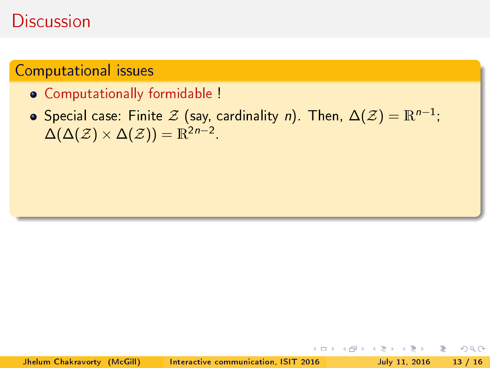#### Computational issues

- Computationally formidable !
- Special case: Finite  $\mathcal Z$  (say, cardinality  $n$ ). Then,  $\Delta(\mathcal Z) = \mathbb R^{n-1};$  $\Delta(\Delta(\mathcal{Z})\times \Delta(\mathcal{Z}))=\mathbb{R}^{2n-2}$ .

Ξŀ. ÷.

 $\leftarrow$   $\Box$ 

 $\Omega$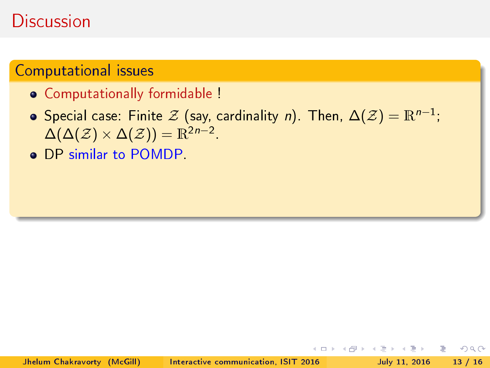#### Computational issues

- Computationally formidable !
- Special case: Finite  $\mathcal Z$  (say, cardinality  $n$ ). Then,  $\Delta(\mathcal Z) = \mathbb R^{n-1};$  $\Delta(\Delta(\mathcal{Z})\times \Delta(\mathcal{Z}))=\mathbb{R}^{2n-2}$ .
- **o** DP similar to POMDP.

 $\leftarrow$   $\Box$ 

 $\Omega$ 

Ξŀ. ÷.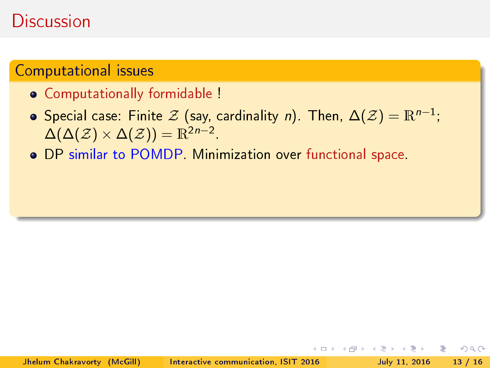#### Computational issues

- Computationally formidable !
- Special case: Finite  $\mathcal Z$  (say, cardinality  $n$ ). Then,  $\Delta(\mathcal Z) = \mathbb R^{n-1};$  $\Delta(\Delta(\mathcal{Z})\times \Delta(\mathcal{Z}))=\mathbb{R}^{2n-2}$ .

つへへ

DP similar to POMDP. Minimization over functional space.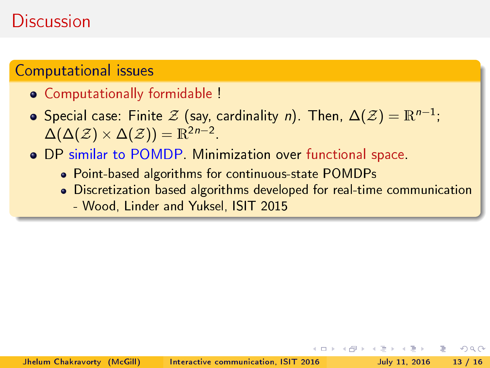#### Computational issues

- Computationally formidable !
- Special case: Finite  $\mathcal Z$  (say, cardinality  $n$ ). Then,  $\Delta(\mathcal Z) = \mathbb R^{n-1};$  $\Delta(\Delta(\mathcal{Z})\times \Delta(\mathcal{Z}))=\mathbb{R}^{2n-2}$ .
- DP similar to POMDP. Minimization over functional space.
	- Point-based algorithms for continuous-state POMDPs
	- Discretization based algorithms developed for real-time communication

つへへ

- Wood, Linder and Yuksel, ISIT 2015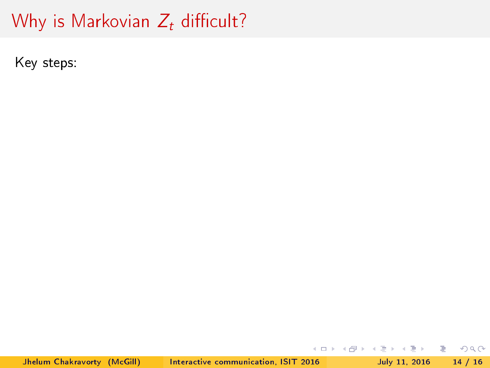# Why is Markovian  $Z_t$  difficult?

Key steps:

Jhelum Chakravorty (McGill) [Interactive communication, ISIT 2016](#page-0-0) July 11, 2016 14 / 16

 $2Q$ 

K ロ > 'K @ > 'K 경 > 'K 경 > ' - 경 +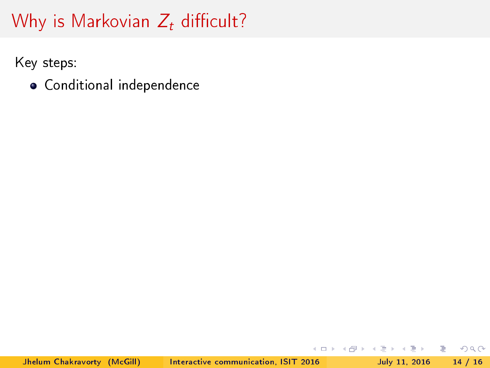Key steps:

Conditional independence

E.

 $2Q$ 

 $\Rightarrow$ 

Þ  $\,$   $\,$  $\prec$ 

**K ロト K 倒 ト K**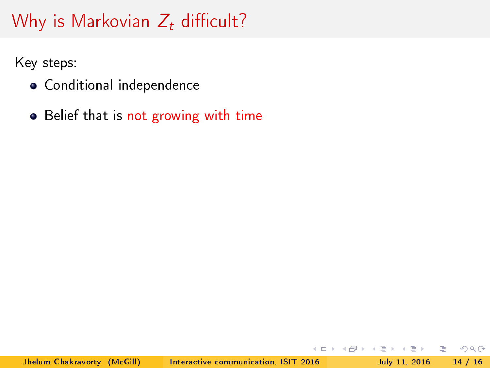Key steps:

- Conditional independence
- Belief that is not growing with time

( □ ) ( <sub>□</sub> ) (

(Biri) B.

э  $\rightarrow$   $\Omega$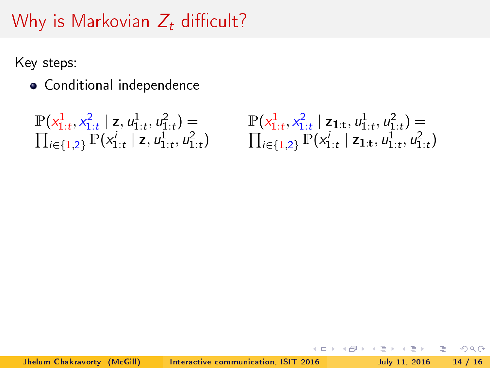Key steps:

Conditional independence

$$
\frac{\mathbb{P}(x_{1:t}^1, x_{1:t}^2 \mid \mathbf{z}, u_{1:t}^1, u_{1:t}^2) =}{\prod_{i \in \{1,2\}} \mathbb{P}(x_{1:t}^i \mid \mathbf{z}, u_{1:t}^1, u_{1:t}^2)}
$$

$$
\frac{\mathbb{P}(x_{1:t}^1, x_{1:t}^2 \mid \mathsf{z}_{1:t}, u_{1:t}^1, u_{1:t}^2) =}{\prod_{i \in \{1,2\}} \mathbb{P}(x_{1:t}^i \mid \mathsf{z}_{1:t}, u_{1:t}^1, u_{1:t}^2)}
$$

**K ロト K 倒 ト K** 

 $\Rightarrow$ 

E.

 $2Q$ 

Þ  $\,$   $\,$  $\prec$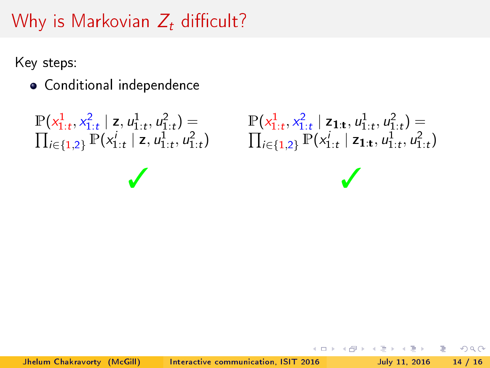Key steps:

Conditional independence

```
\mathbb{P}(x_{1:t}^1, x_{1:t}^2 \mid \mathsf{z}, u_{1:t}^1, u_{1:t}^2) =
```
 $\prod_{i\in\{1,2\}} \mathbb{P}(x_{1:t}^i \mid \mathsf{z}, u_{1:t}^1, u_{1:t}^2)$   $\qquad \prod_{i\in\{1,2\}} \mathbb{P}(x_{1:t}^i \mid \mathsf{z}_{1:t}, u_{1:t}^1, u_{1:t}^2)$  $\mathbb{P}(x_{1:t}^1, x_{1:t}^2 \mid \mathsf{z}_{1:t}, u_{1:t}^1, u_{1:t}^2) =$ ✓ ✓

Box 11

æ.

 $\Omega$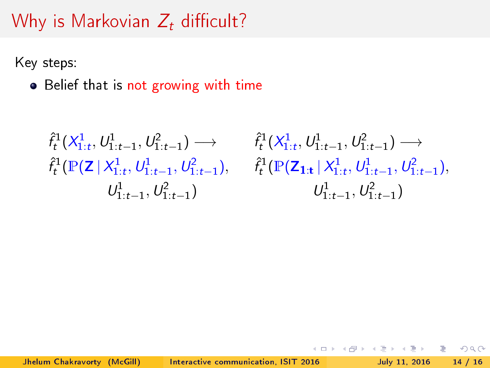Key steps:

• Belief that is not growing with time

```
\hat{f}_t^1(X_{1:t}^1, U_{1:t-1}^1, U_{1:t-1}^2) \longrightarrowU_{1:t-1}^1, U_{1:t-1}^2
```
 $\hat{f}_t^1(\mathbb{P}(\mathsf{Z} \,|\, \mathsf{X}_{1:t}^1, \mathsf{U}_{1:t-1}^1, \mathsf{U}_{1:t-1}^2), \quad \hat{f}_t^1(\mathbb{P}(\mathsf{Z}_{1:t} \,|\, \mathsf{X}_{1:t}^1, \mathsf{U}_{1:t-1}^1, \mathsf{U}_{1:t-1}^2),$  $\hat{f}_t^1(X_{1:t}^1, U_{1:t-1}^1, U_{1:t-1}^2) \longrightarrow$  $U_{1:t-1}^1, U_{1:t-1}^2)$ 

つひひ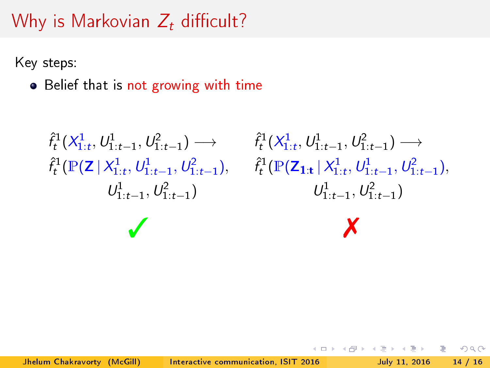Key steps:

• Belief that is not growing with time

```
\hat{f}_t^1(\mathsf{X}_{1:t}^1, \mathsf{U}_{1:t-1}^1, \mathsf{U}_{1:t-1}^2) \longrightarrow \qquad \hat{f}_t^1(\mathsf{X}_{1:t}^1, \mathsf{U}_{1:t-1}^1, \mathsf{U}_{1:t-1}^2) \longrightarrowU_{1:t-1}^1, U_{1:t-1}^2
```
 $\hat{f}_t^1(\mathbb{P}(\mathsf{Z} \,|\, \mathsf{X}_{1:t}^1, \mathsf{U}_{1:t-1}^1, \mathsf{U}_{1:t-1}^2), \quad \hat{f}_t^1(\mathbb{P}(\mathsf{Z}_{1:t} \,|\, \mathsf{X}_{1:t}^1, \mathsf{U}_{1:t-1}^1, \mathsf{U}_{1:t-1}^2),$  $U_{1:t-1}^1, U_{1:t-1}^2)$  $\checkmark$ 

つへへ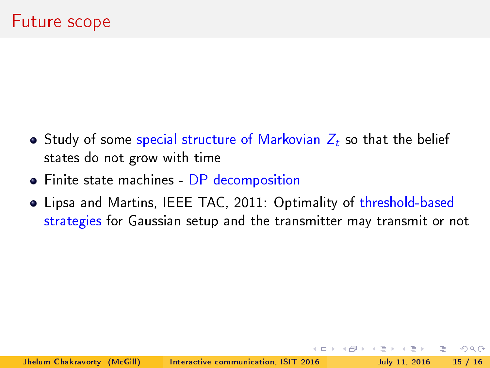- Study of some special structure of Markovian  $Z_t$  so that the belief states do not grow with time
- Finite state machines DP decomposition
- Lipsa and Martins, IEEE TAC, 2011: Optimality of threshold-based strategies for Gaussian setup and the transmitter may transmit or not

 $\Omega$